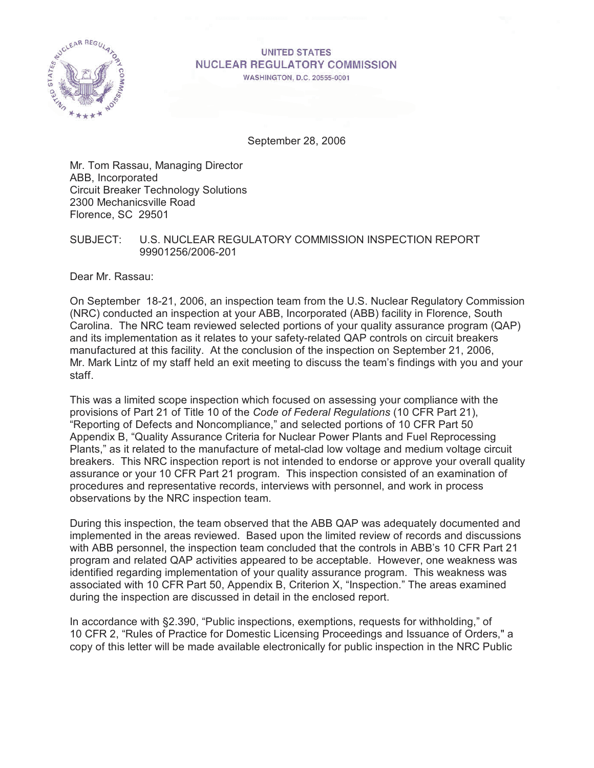

# **UNITED STATES NUCLEAR REGULATORY COMMISSION**

**WASHINGTON, D.C. 20555-0001** 

September 28, 2006

Mr. Tom Rassau, Managing Director ABB, Incorporated Circuit Breaker Technology Solutions 2300 Mechanicsville Road Florence, SC 29501

SUBJECT: U.S. NUCLEAR REGULATORY COMMISSION INSPECTION REPORT 99901256/2006-201

Dear Mr. Rassau:

On September 18-21, 2006, an inspection team from the U.S. Nuclear Regulatory Commission (NRC) conducted an inspection at your ABB, Incorporated (ABB) facility in Florence, South Carolina. The NRC team reviewed selected portions of your quality assurance program (QAP) and its implementation as it relates to your safety-related QAP controls on circuit breakers manufactured at this facility. At the conclusion of the inspection on September 21, 2006, Mr. Mark Lintz of my staff held an exit meeting to discuss the team's findings with you and your staff.

This was a limited scope inspection which focused on assessing your compliance with the provisions of Part 21 of Title 10 of the *Code of Federal Regulations* (10 CFR Part 21), "Reporting of Defects and Noncompliance," and selected portions of 10 CFR Part 50 Appendix B, "Quality Assurance Criteria for Nuclear Power Plants and Fuel Reprocessing Plants," as it related to the manufacture of metal-clad low voltage and medium voltage circuit breakers. This NRC inspection report is not intended to endorse or approve your overall quality assurance or your 10 CFR Part 21 program. This inspection consisted of an examination of procedures and representative records, interviews with personnel, and work in process observations by the NRC inspection team.

During this inspection, the team observed that the ABB QAP was adequately documented and implemented in the areas reviewed. Based upon the limited review of records and discussions with ABB personnel, the inspection team concluded that the controls in ABB's 10 CFR Part 21 program and related QAP activities appeared to be acceptable. However, one weakness was identified regarding implementation of your quality assurance program. This weakness was associated with 10 CFR Part 50, Appendix B, Criterion X, "Inspection." The areas examined during the inspection are discussed in detail in the enclosed report.

In accordance with §2.390, "Public inspections, exemptions, requests for withholding," of 10 CFR 2, "Rules of Practice for Domestic Licensing Proceedings and Issuance of Orders," a copy of this letter will be made available electronically for public inspection in the NRC Public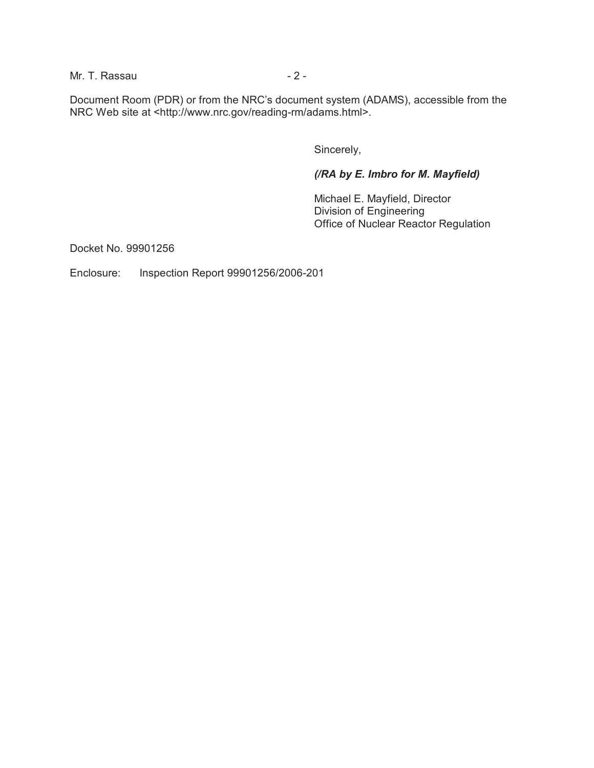Mr. T. Rassau  $-2 -$ 

Document Room (PDR) or from the NRC's document system (ADAMS), accessible from the NRC Web site at <http://www.nrc.gov/reading-rm/adams.html>.

Sincerely,

*(/RA by E. Imbro for M. Mayfield)*

Michael E. Mayfield, Director Division of Engineering Office of Nuclear Reactor Regulation

Docket No. 99901256

Enclosure: Inspection Report 99901256/2006-201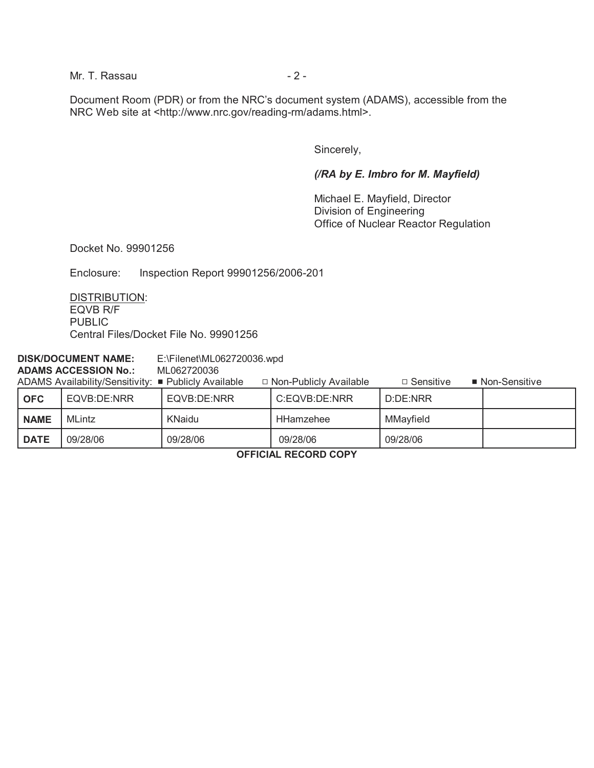Mr. T. Rassau  $-2 -$ 

Document Room (PDR) or from the NRC's document system (ADAMS), accessible from the NRC Web site at <http://www.nrc.gov/reading-rm/adams.html>.

Sincerely,

#### *(/RA by E. Imbro for M. Mayfield)*

Michael E. Mayfield, Director Division of Engineering Office of Nuclear Reactor Regulation

Docket No. 99901256

Enclosure: Inspection Report 99901256/2006-201

DISTRIBUTION: EQVB R/F PUBLIC Central Files/Docket File No. 99901256

| <b>DISK/DOCUMENT NAME:</b>  |       |                                                      | $E:\F$ ilenet\ML062720036.wpd |                          |                  |                 |  |
|-----------------------------|-------|------------------------------------------------------|-------------------------------|--------------------------|------------------|-----------------|--|
| <b>ADAMS ACCESSION No.:</b> |       |                                                      | ML062720036                   |                          |                  |                 |  |
|                             |       | ADAMS Availability/Sensitivity: ■ Publicly Available |                               | □ Non-Publicly Available | $\Box$ Sensitive | ■ Non-Sensitive |  |
|                             | ∣ OFC | EQVB:DE:NRR                                          | EQVB:DE:NRR                   | C:EQVB:DE:NRR            | D:DE:NRR         |                 |  |
|                             |       |                                                      |                               |                          |                  |                 |  |

| .           | ______________ | ______________ |           | --------  |  |
|-------------|----------------|----------------|-----------|-----------|--|
| <b>NAME</b> | <b>MLintz</b>  | KNaidu         | HHamzehee | MMayfield |  |
| DATE        | 09/28/06       | 09/28/06       | 09/28/06  | 09/28/06  |  |
|             |                |                |           |           |  |

**OFFICIAL RECORD COPY**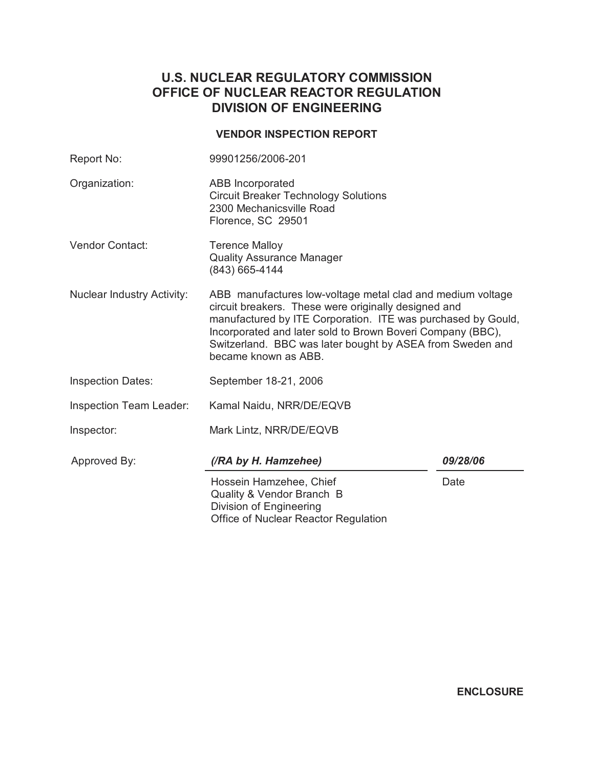# **U.S. NUCLEAR REGULATORY COMMISSION OFFICE OF NUCLEAR REACTOR REGULATION DIVISION OF ENGINEERING**

### **VENDOR INSPECTION REPORT**

| Report No:                        | 99901256/2006-201                                                                                                                                                                                                                                                                                                                     |          |  |
|-----------------------------------|---------------------------------------------------------------------------------------------------------------------------------------------------------------------------------------------------------------------------------------------------------------------------------------------------------------------------------------|----------|--|
| Organization:                     | <b>ABB</b> Incorporated<br><b>Circuit Breaker Technology Solutions</b><br>2300 Mechanicsville Road<br>Florence, SC 29501                                                                                                                                                                                                              |          |  |
| <b>Vendor Contact:</b>            | <b>Terence Malloy</b><br><b>Quality Assurance Manager</b><br>(843) 665-4144                                                                                                                                                                                                                                                           |          |  |
| <b>Nuclear Industry Activity:</b> | ABB manufactures low-voltage metal clad and medium voltage<br>circuit breakers. These were originally designed and<br>manufactured by ITE Corporation. ITE was purchased by Gould,<br>Incorporated and later sold to Brown Boveri Company (BBC),<br>Switzerland. BBC was later bought by ASEA from Sweden and<br>became known as ABB. |          |  |
| <b>Inspection Dates:</b>          | September 18-21, 2006                                                                                                                                                                                                                                                                                                                 |          |  |
| Inspection Team Leader:           | Kamal Naidu, NRR/DE/EQVB                                                                                                                                                                                                                                                                                                              |          |  |
| Inspector:                        | Mark Lintz, NRR/DE/EQVB                                                                                                                                                                                                                                                                                                               |          |  |
| Approved By:                      | (/RA by H. Hamzehee)                                                                                                                                                                                                                                                                                                                  | 09/28/06 |  |
|                                   | Hossein Hamzehee, Chief<br>Quality & Vendor Branch B<br>Division of Engineering<br>Office of Nuclear Reactor Regulation                                                                                                                                                                                                               | Date     |  |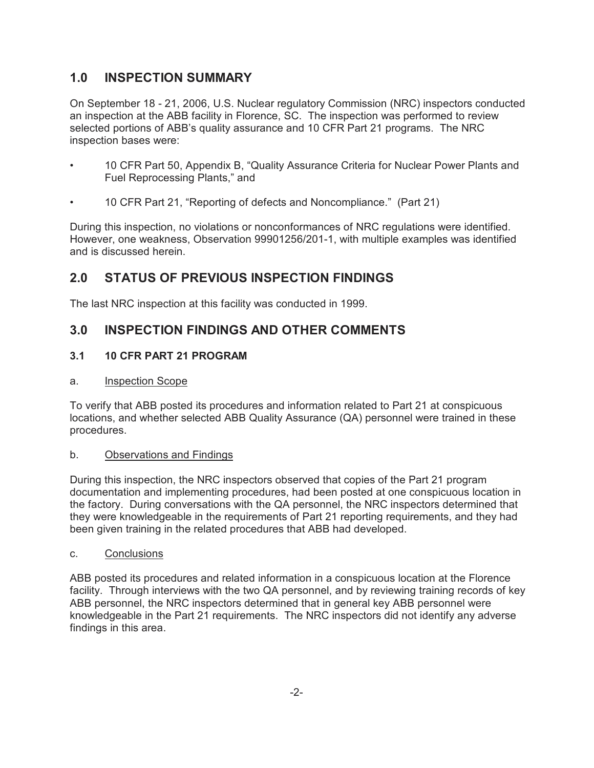## **1.0 INSPECTION SUMMARY**

On September 18 - 21, 2006, U.S. Nuclear regulatory Commission (NRC) inspectors conducted an inspection at the ABB facility in Florence, SC. The inspection was performed to review selected portions of ABB's quality assurance and 10 CFR Part 21 programs. The NRC inspection bases were:

- 10 CFR Part 50, Appendix B, "Quality Assurance Criteria for Nuclear Power Plants and Fuel Reprocessing Plants," and
- 10 CFR Part 21, "Reporting of defects and Noncompliance." (Part 21)

During this inspection, no violations or nonconformances of NRC regulations were identified. However, one weakness, Observation 99901256/201-1, with multiple examples was identified and is discussed herein.

## **2.0 STATUS OF PREVIOUS INSPECTION FINDINGS**

The last NRC inspection at this facility was conducted in 1999.

## **3.0 INSPECTION FINDINGS AND OTHER COMMENTS**

### **3.1 10 CFR PART 21 PROGRAM**

#### a. Inspection Scope

To verify that ABB posted its procedures and information related to Part 21 at conspicuous locations, and whether selected ABB Quality Assurance (QA) personnel were trained in these procedures.

#### b. Observations and Findings

During this inspection, the NRC inspectors observed that copies of the Part 21 program documentation and implementing procedures, had been posted at one conspicuous location in the factory. During conversations with the QA personnel, the NRC inspectors determined that they were knowledgeable in the requirements of Part 21 reporting requirements, and they had been given training in the related procedures that ABB had developed.

#### c. Conclusions

ABB posted its procedures and related information in a conspicuous location at the Florence facility. Through interviews with the two QA personnel, and by reviewing training records of key ABB personnel, the NRC inspectors determined that in general key ABB personnel were knowledgeable in the Part 21 requirements. The NRC inspectors did not identify any adverse findings in this area.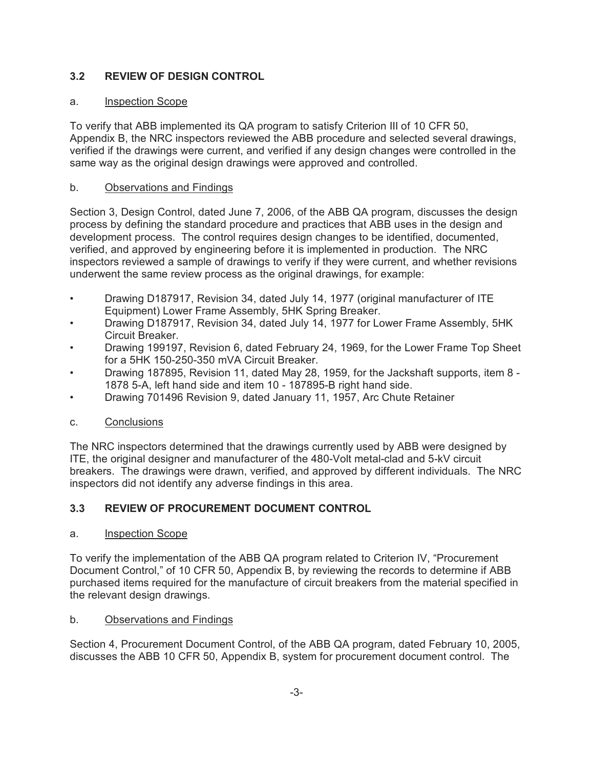## **3.2 REVIEW OF DESIGN CONTROL**

### a. Inspection Scope

To verify that ABB implemented its QA program to satisfy Criterion III of 10 CFR 50, Appendix B, the NRC inspectors reviewed the ABB procedure and selected several drawings, verified if the drawings were current, and verified if any design changes were controlled in the same way as the original design drawings were approved and controlled.

### b. Observations and Findings

Section 3, Design Control, dated June 7, 2006, of the ABB QA program, discusses the design process by defining the standard procedure and practices that ABB uses in the design and development process. The control requires design changes to be identified, documented, verified, and approved by engineering before it is implemented in production. The NRC inspectors reviewed a sample of drawings to verify if they were current, and whether revisions underwent the same review process as the original drawings, for example:

- Drawing D187917, Revision 34, dated July 14, 1977 (original manufacturer of ITE Equipment) Lower Frame Assembly, 5HK Spring Breaker.
- Drawing D187917, Revision 34, dated July 14, 1977 for Lower Frame Assembly, 5HK Circuit Breaker.
- Drawing 199197, Revision 6, dated February 24, 1969, for the Lower Frame Top Sheet for a 5HK 150-250-350 mVA Circuit Breaker.
- Drawing 187895, Revision 11, dated May 28, 1959, for the Jackshaft supports, item 8 1878 5-A, left hand side and item 10 - 187895-B right hand side.
- Drawing 701496 Revision 9, dated January 11, 1957, Arc Chute Retainer

## c. Conclusions

The NRC inspectors determined that the drawings currently used by ABB were designed by ITE, the original designer and manufacturer of the 480-Volt metal-clad and 5-kV circuit breakers. The drawings were drawn, verified, and approved by different individuals. The NRC inspectors did not identify any adverse findings in this area.

## **3.3 REVIEW OF PROCUREMENT DOCUMENT CONTROL**

#### a. Inspection Scope

To verify the implementation of the ABB QA program related to Criterion IV, "Procurement Document Control," of 10 CFR 50, Appendix B, by reviewing the records to determine if ABB purchased items required for the manufacture of circuit breakers from the material specified in the relevant design drawings.

## b. Observations and Findings

Section 4, Procurement Document Control, of the ABB QA program, dated February 10, 2005, discusses the ABB 10 CFR 50, Appendix B, system for procurement document control. The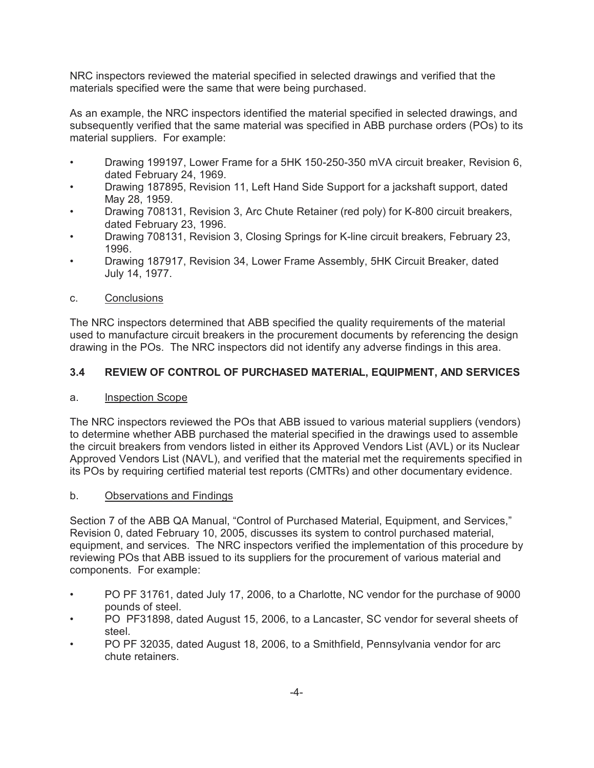NRC inspectors reviewed the material specified in selected drawings and verified that the materials specified were the same that were being purchased.

As an example, the NRC inspectors identified the material specified in selected drawings, and subsequently verified that the same material was specified in ABB purchase orders (POs) to its material suppliers. For example:

- Drawing 199197, Lower Frame for a 5HK 150-250-350 mVA circuit breaker, Revision 6, dated February 24, 1969.
- Drawing 187895, Revision 11, Left Hand Side Support for a jackshaft support, dated May 28, 1959.
- Drawing 708131, Revision 3, Arc Chute Retainer (red poly) for K-800 circuit breakers, dated February 23, 1996.
- Drawing 708131, Revision 3, Closing Springs for K-line circuit breakers, February 23, 1996.
- Drawing 187917, Revision 34, Lower Frame Assembly, 5HK Circuit Breaker, dated July 14, 1977.

### c. Conclusions

The NRC inspectors determined that ABB specified the quality requirements of the material used to manufacture circuit breakers in the procurement documents by referencing the design drawing in the POs. The NRC inspectors did not identify any adverse findings in this area.

### **3.4 REVIEW OF CONTROL OF PURCHASED MATERIAL, EQUIPMENT, AND SERVICES**

#### a. Inspection Scope

The NRC inspectors reviewed the POs that ABB issued to various material suppliers (vendors) to determine whether ABB purchased the material specified in the drawings used to assemble the circuit breakers from vendors listed in either its Approved Vendors List (AVL) or its Nuclear Approved Vendors List (NAVL), and verified that the material met the requirements specified in its POs by requiring certified material test reports (CMTRs) and other documentary evidence.

#### b. Observations and Findings

Section 7 of the ABB QA Manual, "Control of Purchased Material, Equipment, and Services," Revision 0, dated February 10, 2005, discusses its system to control purchased material, equipment, and services. The NRC inspectors verified the implementation of this procedure by reviewing POs that ABB issued to its suppliers for the procurement of various material and components. For example:

- PO PF 31761, dated July 17, 2006, to a Charlotte, NC vendor for the purchase of 9000 pounds of steel.
- PO PF31898, dated August 15, 2006, to a Lancaster, SC vendor for several sheets of steel.
- PO PF 32035, dated August 18, 2006, to a Smithfield, Pennsylvania vendor for arc chute retainers.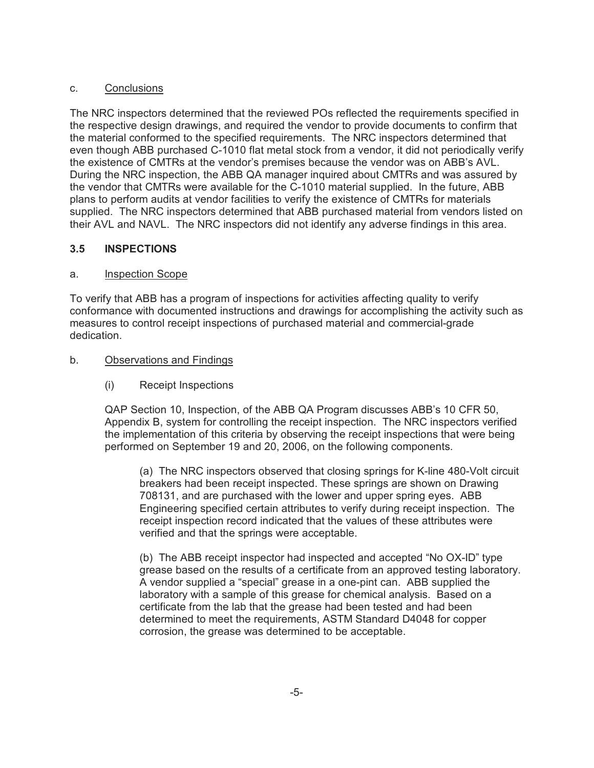#### c. Conclusions

The NRC inspectors determined that the reviewed POs reflected the requirements specified in the respective design drawings, and required the vendor to provide documents to confirm that the material conformed to the specified requirements. The NRC inspectors determined that even though ABB purchased C-1010 flat metal stock from a vendor, it did not periodically verify the existence of CMTRs at the vendor's premises because the vendor was on ABB's AVL. During the NRC inspection, the ABB QA manager inquired about CMTRs and was assured by the vendor that CMTRs were available for the C-1010 material supplied. In the future, ABB plans to perform audits at vendor facilities to verify the existence of CMTRs for materials supplied. The NRC inspectors determined that ABB purchased material from vendors listed on their AVL and NAVL. The NRC inspectors did not identify any adverse findings in this area.

## **3.5 INSPECTIONS**

### a. Inspection Scope

To verify that ABB has a program of inspections for activities affecting quality to verify conformance with documented instructions and drawings for accomplishing the activity such as measures to control receipt inspections of purchased material and commercial-grade dedication.

### b. Observations and Findings

(i) Receipt Inspections

QAP Section 10, Inspection, of the ABB QA Program discusses ABB's 10 CFR 50, Appendix B, system for controlling the receipt inspection. The NRC inspectors verified the implementation of this criteria by observing the receipt inspections that were being performed on September 19 and 20, 2006, on the following components.

(a) The NRC inspectors observed that closing springs for K-line 480-Volt circuit breakers had been receipt inspected. These springs are shown on Drawing 708131, and are purchased with the lower and upper spring eyes. ABB Engineering specified certain attributes to verify during receipt inspection. The receipt inspection record indicated that the values of these attributes were verified and that the springs were acceptable.

(b) The ABB receipt inspector had inspected and accepted "No OX-ID" type grease based on the results of a certificate from an approved testing laboratory. A vendor supplied a "special" grease in a one-pint can. ABB supplied the laboratory with a sample of this grease for chemical analysis. Based on a certificate from the lab that the grease had been tested and had been determined to meet the requirements, ASTM Standard D4048 for copper corrosion, the grease was determined to be acceptable.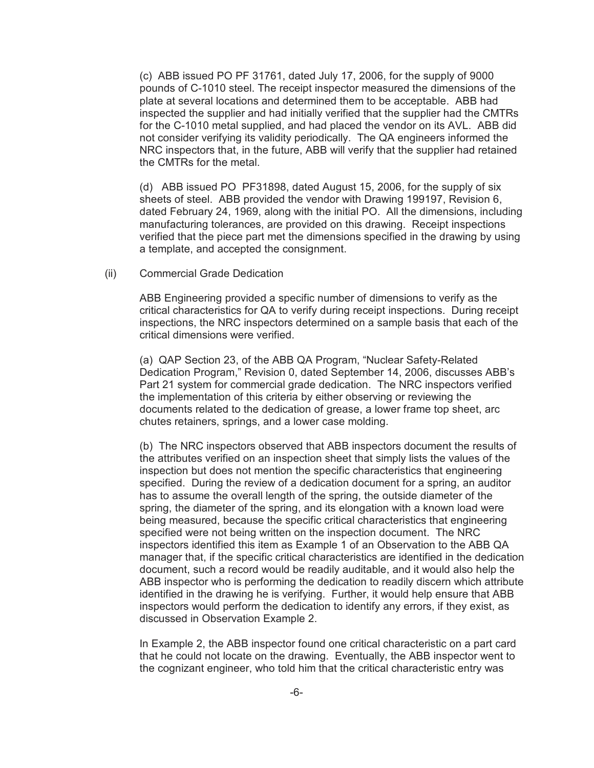(c) ABB issued PO PF 31761, dated July 17, 2006, for the supply of 9000 pounds of C-1010 steel. The receipt inspector measured the dimensions of the plate at several locations and determined them to be acceptable. ABB had inspected the supplier and had initially verified that the supplier had the CMTRs for the C-1010 metal supplied, and had placed the vendor on its AVL. ABB did not consider verifying its validity periodically. The QA engineers informed the NRC inspectors that, in the future, ABB will verify that the supplier had retained the CMTRs for the metal.

(d) ABB issued PO PF31898, dated August 15, 2006, for the supply of six sheets of steel. ABB provided the vendor with Drawing 199197, Revision 6, dated February 24, 1969, along with the initial PO. All the dimensions, including manufacturing tolerances, are provided on this drawing. Receipt inspections verified that the piece part met the dimensions specified in the drawing by using a template, and accepted the consignment.

(ii) Commercial Grade Dedication

ABB Engineering provided a specific number of dimensions to verify as the critical characteristics for QA to verify during receipt inspections. During receipt inspections, the NRC inspectors determined on a sample basis that each of the critical dimensions were verified.

(a) QAP Section 23, of the ABB QA Program, "Nuclear Safety-Related Dedication Program," Revision 0, dated September 14, 2006, discusses ABB's Part 21 system for commercial grade dedication. The NRC inspectors verified the implementation of this criteria by either observing or reviewing the documents related to the dedication of grease, a lower frame top sheet, arc chutes retainers, springs, and a lower case molding.

(b) The NRC inspectors observed that ABB inspectors document the results of the attributes verified on an inspection sheet that simply lists the values of the inspection but does not mention the specific characteristics that engineering specified. During the review of a dedication document for a spring, an auditor has to assume the overall length of the spring, the outside diameter of the spring, the diameter of the spring, and its elongation with a known load were being measured, because the specific critical characteristics that engineering specified were not being written on the inspection document. The NRC inspectors identified this item as Example 1 of an Observation to the ABB QA manager that, if the specific critical characteristics are identified in the dedication document, such a record would be readily auditable, and it would also help the ABB inspector who is performing the dedication to readily discern which attribute identified in the drawing he is verifying. Further, it would help ensure that ABB inspectors would perform the dedication to identify any errors, if they exist, as discussed in Observation Example 2.

In Example 2, the ABB inspector found one critical characteristic on a part card that he could not locate on the drawing. Eventually, the ABB inspector went to the cognizant engineer, who told him that the critical characteristic entry was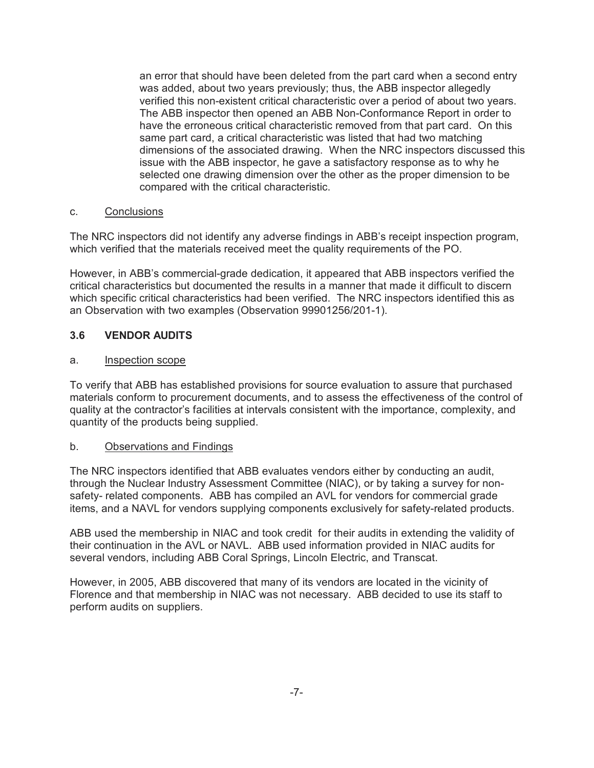an error that should have been deleted from the part card when a second entry was added, about two years previously; thus, the ABB inspector allegedly verified this non-existent critical characteristic over a period of about two years. The ABB inspector then opened an ABB Non-Conformance Report in order to have the erroneous critical characteristic removed from that part card. On this same part card, a critical characteristic was listed that had two matching dimensions of the associated drawing. When the NRC inspectors discussed this issue with the ABB inspector, he gave a satisfactory response as to why he selected one drawing dimension over the other as the proper dimension to be compared with the critical characteristic.

#### c. Conclusions

The NRC inspectors did not identify any adverse findings in ABB's receipt inspection program, which verified that the materials received meet the quality requirements of the PO.

However, in ABB's commercial-grade dedication, it appeared that ABB inspectors verified the critical characteristics but documented the results in a manner that made it difficult to discern which specific critical characteristics had been verified. The NRC inspectors identified this as an Observation with two examples (Observation 99901256/201-1).

## **3.6 VENDOR AUDITS**

#### a. Inspection scope

To verify that ABB has established provisions for source evaluation to assure that purchased materials conform to procurement documents, and to assess the effectiveness of the control of quality at the contractor's facilities at intervals consistent with the importance, complexity, and quantity of the products being supplied.

#### b. Observations and Findings

The NRC inspectors identified that ABB evaluates vendors either by conducting an audit, through the Nuclear Industry Assessment Committee (NIAC), or by taking a survey for nonsafety- related components. ABB has compiled an AVL for vendors for commercial grade items, and a NAVL for vendors supplying components exclusively for safety-related products.

ABB used the membership in NIAC and took credit for their audits in extending the validity of their continuation in the AVL or NAVL. ABB used information provided in NIAC audits for several vendors, including ABB Coral Springs, Lincoln Electric, and Transcat.

However, in 2005, ABB discovered that many of its vendors are located in the vicinity of Florence and that membership in NIAC was not necessary. ABB decided to use its staff to perform audits on suppliers.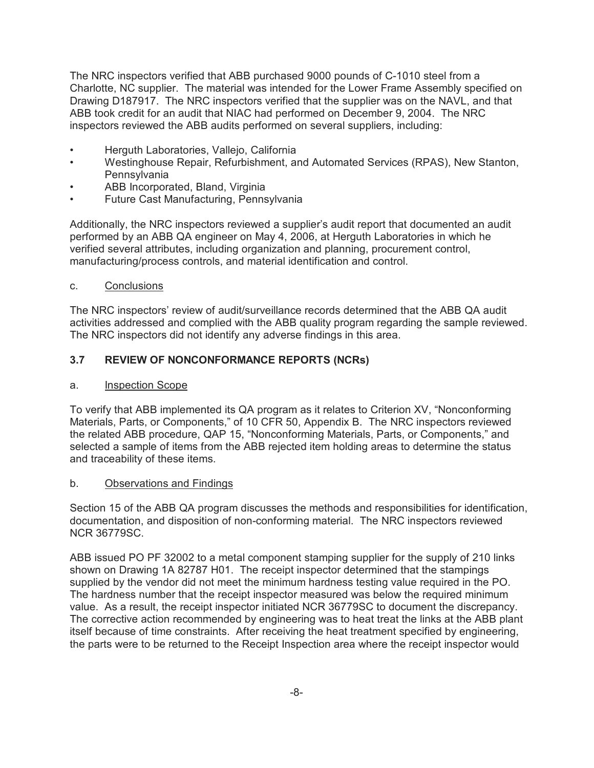The NRC inspectors verified that ABB purchased 9000 pounds of C-1010 steel from a Charlotte, NC supplier. The material was intended for the Lower Frame Assembly specified on Drawing D187917. The NRC inspectors verified that the supplier was on the NAVL, and that ABB took credit for an audit that NIAC had performed on December 9, 2004. The NRC inspectors reviewed the ABB audits performed on several suppliers, including:

- Herguth Laboratories, Vallejo, California
- Westinghouse Repair, Refurbishment, and Automated Services (RPAS), New Stanton, **Pennsylvania**
- ABB Incorporated, Bland, Virginia
- Future Cast Manufacturing, Pennsylvania

Additionally, the NRC inspectors reviewed a supplier's audit report that documented an audit performed by an ABB QA engineer on May 4, 2006, at Herguth Laboratories in which he verified several attributes, including organization and planning, procurement control, manufacturing/process controls, and material identification and control.

#### c. Conclusions

The NRC inspectors' review of audit/surveillance records determined that the ABB QA audit activities addressed and complied with the ABB quality program regarding the sample reviewed. The NRC inspectors did not identify any adverse findings in this area.

### **3.7 REVIEW OF NONCONFORMANCE REPORTS (NCRs)**

#### a. Inspection Scope

To verify that ABB implemented its QA program as it relates to Criterion XV, "Nonconforming Materials, Parts, or Components," of 10 CFR 50, Appendix B. The NRC inspectors reviewed the related ABB procedure, QAP 15, "Nonconforming Materials, Parts, or Components," and selected a sample of items from the ABB rejected item holding areas to determine the status and traceability of these items.

#### b. Observations and Findings

Section 15 of the ABB QA program discusses the methods and responsibilities for identification, documentation, and disposition of non-conforming material. The NRC inspectors reviewed NCR 36779SC.

ABB issued PO PF 32002 to a metal component stamping supplier for the supply of 210 links shown on Drawing 1A 82787 H01. The receipt inspector determined that the stampings supplied by the vendor did not meet the minimum hardness testing value required in the PO. The hardness number that the receipt inspector measured was below the required minimum value. As a result, the receipt inspector initiated NCR 36779SC to document the discrepancy. The corrective action recommended by engineering was to heat treat the links at the ABB plant itself because of time constraints. After receiving the heat treatment specified by engineering, the parts were to be returned to the Receipt Inspection area where the receipt inspector would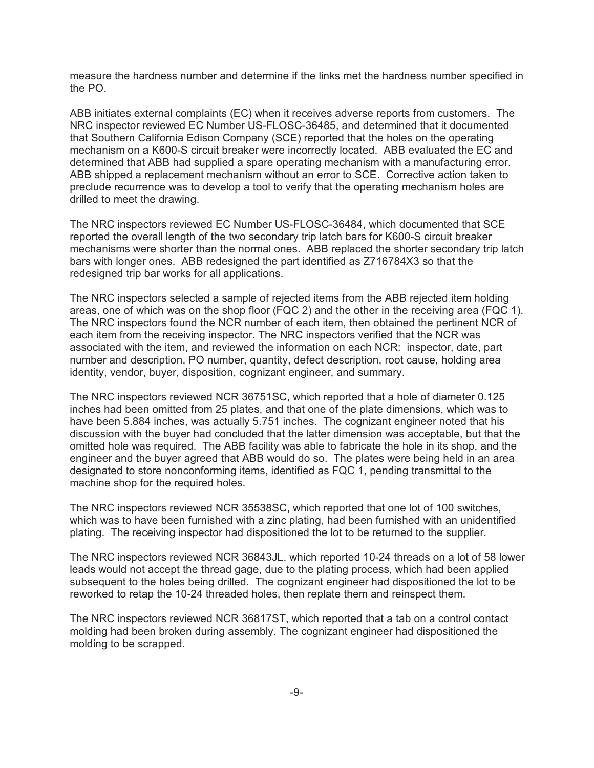measure the hardness number and determine if the links met the hardness number specified in the PO.

ABB initiates external complaints (EC) when it receives adverse reports from customers. The NRC inspector reviewed EC Number US-FLOSC-36485, and determined that it documented that Southern California Edison Company (SCE) reported that the holes on the operating mechanism on a K600-S circuit breaker were incorrectly located. ABB evaluated the EC and determined that ABB had supplied a spare operating mechanism with a manufacturing error. ABB shipped a replacement mechanism without an error to SCE. Corrective action taken to preclude recurrence was to develop a tool to verify that the operating mechanism holes are drilled to meet the drawing.

The NRC inspectors reviewed EC Number US-FLOSC-36484, which documented that SCE reported the overall length of the two secondary trip latch bars for K600-S circuit breaker mechanisms were shorter than the normal ones. ABB replaced the shorter secondary trip latch bars with longer ones. ABB redesigned the part identified as Z716784X3 so that the redesigned trip bar works for all applications.

The NRC inspectors selected a sample of rejected items from the ABB rejected item holding areas, one of which was on the shop floor (FQC 2) and the other in the receiving area (FQC 1). The NRC inspectors found the NCR number of each item, then obtained the pertinent NCR of each item from the receiving inspector. The NRC inspectors verified that the NCR was associated with the item, and reviewed the information on each NCR: inspector, date, part number and description, PO number, quantity, defect description, root cause, holding area identity, vendor, buyer, disposition, cognizant engineer, and summary.

The NRC inspectors reviewed NCR 36751SC, which reported that a hole of diameter 0.125 inches had been omitted from 25 plates, and that one of the plate dimensions, which was to have been 5.884 inches, was actually 5.751 inches. The cognizant engineer noted that his discussion with the buyer had concluded that the latter dimension was acceptable, but that the omitted hole was required. The ABB facility was able to fabricate the hole in its shop, and the engineer and the buyer agreed that ABB would do so. The plates were being held in an area designated to store nonconforming items, identified as FQC 1, pending transmittal to the machine shop for the required holes.

The NRC inspectors reviewed NCR 35538SC, which reported that one lot of 100 switches, which was to have been furnished with a zinc plating, had been furnished with an unidentified plating. The receiving inspector had dispositioned the lot to be returned to the supplier.

The NRC inspectors reviewed NCR 36843JL, which reported 10-24 threads on a lot of 58 lower leads would not accept the thread gage, due to the plating process, which had been applied subsequent to the holes being drilled. The cognizant engineer had dispositioned the lot to be reworked to retap the 10-24 threaded holes, then replate them and reinspect them.

The NRC inspectors reviewed NCR 36817ST, which reported that a tab on a control contact molding had been broken during assembly. The cognizant engineer had dispositioned the molding to be scrapped.